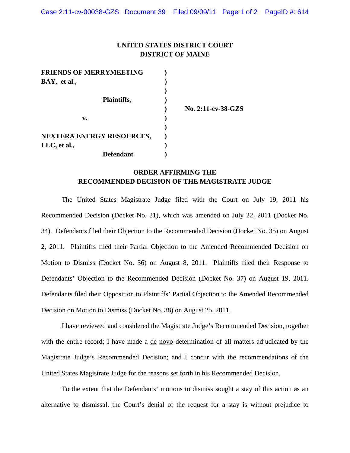## **UNITED STATES DISTRICT COURT DISTRICT OF MAINE**

| <b>FRIENDS OF MERRYMEETING</b>   |  |
|----------------------------------|--|
| BAY, et al.,                     |  |
|                                  |  |
| Plaintiffs,                      |  |
|                                  |  |
| v.                               |  |
|                                  |  |
| <b>NEXTERA ENERGY RESOURCES,</b> |  |
| LLC, et al.,                     |  |
| <b>Defendant</b>                 |  |

 **) No. 2:11-cv-38-GZS** 

## **ORDER AFFIRMING THE RECOMMENDED DECISION OF THE MAGISTRATE JUDGE**

 The United States Magistrate Judge filed with the Court on July 19, 2011 his Recommended Decision (Docket No. 31), which was amended on July 22, 2011 (Docket No. 34). Defendants filed their Objection to the Recommended Decision (Docket No. 35) on August 2, 2011. Plaintiffs filed their Partial Objection to the Amended Recommended Decision on Motion to Dismiss (Docket No. 36) on August 8, 2011. Plaintiffs filed their Response to Defendants' Objection to the Recommended Decision (Docket No. 37) on August 19, 2011. Defendants filed their Opposition to Plaintiffs' Partial Objection to the Amended Recommended Decision on Motion to Dismiss (Docket No. 38) on August 25, 2011.

 I have reviewed and considered the Magistrate Judge's Recommended Decision, together with the entire record; I have made a de novo determination of all matters adjudicated by the Magistrate Judge's Recommended Decision; and I concur with the recommendations of the United States Magistrate Judge for the reasons set forth in his Recommended Decision.

To the extent that the Defendants' motions to dismiss sought a stay of this action as an alternative to dismissal, the Court's denial of the request for a stay is without prejudice to